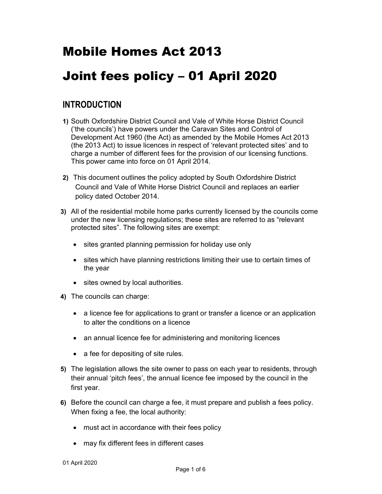# Mobile Homes Act 2013

# Joint fees policy – 01 April 2020

# INTRODUCTION

- 1) South Oxfordshire District Council and Vale of White Horse District Council ('the councils') have powers under the Caravan Sites and Control of Development Act 1960 (the Act) as amended by the Mobile Homes Act 2013 (the 2013 Act) to issue licences in respect of 'relevant protected sites' and to charge a number of different fees for the provision of our licensing functions. This power came into force on 01 April 2014.
- 2) This document outlines the policy adopted by South Oxfordshire District Council and Vale of White Horse District Council and replaces an earlier policy dated October 2014.
- 3) All of the residential mobile home parks currently licensed by the councils come under the new licensing regulations; these sites are referred to as "relevant protected sites". The following sites are exempt:
	- sites granted planning permission for holiday use only
	- sites which have planning restrictions limiting their use to certain times of the year
	- sites owned by local authorities.
- 4) The councils can charge:
	- a licence fee for applications to grant or transfer a licence or an application to alter the conditions on a licence
	- an annual licence fee for administering and monitoring licences
	- a fee for depositing of site rules.
- 5) The legislation allows the site owner to pass on each year to residents, through their annual 'pitch fees', the annual licence fee imposed by the council in the first year.
- 6) Before the council can charge a fee, it must prepare and publish a fees policy. When fixing a fee, the local authority:
	- must act in accordance with their fees policy
	- may fix different fees in different cases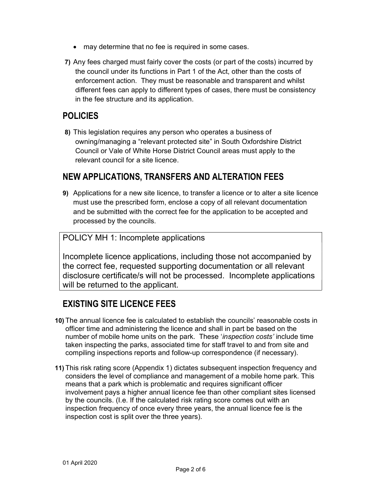- may determine that no fee is required in some cases.
- 7) Any fees charged must fairly cover the costs (or part of the costs) incurred by the council under its functions in Part 1 of the Act, other than the costs of enforcement action. They must be reasonable and transparent and whilst different fees can apply to different types of cases, there must be consistency in the fee structure and its application.

## POLICIES

8) This legislation requires any person who operates a business of owning/managing a "relevant protected site" in South Oxfordshire District Council or Vale of White Horse District Council areas must apply to the relevant council for a site licence.

## NEW APPLICATIONS, TRANSFERS AND ALTERATION FEES

9) Applications for a new site licence, to transfer a licence or to alter a site licence must use the prescribed form, enclose a copy of all relevant documentation and be submitted with the correct fee for the application to be accepted and processed by the councils.

#### POLICY MH 1: Incomplete applications

Incomplete licence applications, including those not accompanied by the correct fee, requested supporting documentation or all relevant disclosure certificate/s will not be processed. Incomplete applications will be returned to the applicant.

# EXISTING SITE LICENCE FEES

- 10) The annual licence fee is calculated to establish the councils' reasonable costs in officer time and administering the licence and shall in part be based on the number of mobile home units on the park. These 'inspection costs' include time taken inspecting the parks, associated time for staff travel to and from site and compiling inspections reports and follow-up correspondence (if necessary).
- 11) This risk rating score (Appendix 1) dictates subsequent inspection frequency and considers the level of compliance and management of a mobile home park. This means that a park which is problematic and requires significant officer involvement pays a higher annual licence fee than other compliant sites licensed by the councils. (I.e. If the calculated risk rating score comes out with an inspection frequency of once every three years, the annual licence fee is the inspection cost is split over the three years).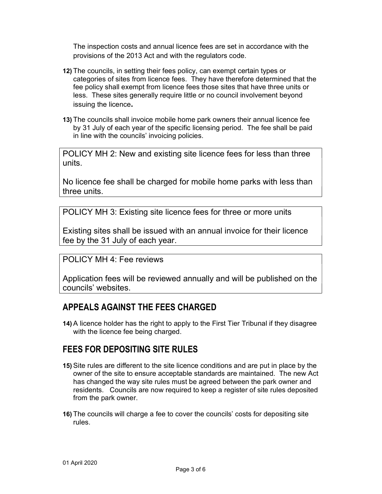The inspection costs and annual licence fees are set in accordance with the provisions of the 2013 Act and with the regulators code.

- 12) The councils, in setting their fees policy, can exempt certain types or categories of sites from licence fees. They have therefore determined that the fee policy shall exempt from licence fees those sites that have three units or less. These sites generally require little or no council involvement beyond issuing the licence.
- 13) The councils shall invoice mobile home park owners their annual licence fee by 31 July of each year of the specific licensing period. The fee shall be paid in line with the councils' invoicing policies.

POLICY MH 2: New and existing site licence fees for less than three units.

No licence fee shall be charged for mobile home parks with less than three units.

POLICY MH 3: Existing site licence fees for three or more units

Existing sites shall be issued with an annual invoice for their licence fee by the 31 July of each year.

#### POLICY MH 4: Fee reviews

Application fees will be reviewed annually and will be published on the councils' websites.

### APPEALS AGAINST THE FEES CHARGED

14) A licence holder has the right to apply to the First Tier Tribunal if they disagree with the licence fee being charged.

### FEES FOR DEPOSITING SITE RULES

- 15) Site rules are different to the site licence conditions and are put in place by the owner of the site to ensure acceptable standards are maintained. The new Act has changed the way site rules must be agreed between the park owner and residents. Councils are now required to keep a register of site rules deposited from the park owner.
- 16) The councils will charge a fee to cover the councils' costs for depositing site rules.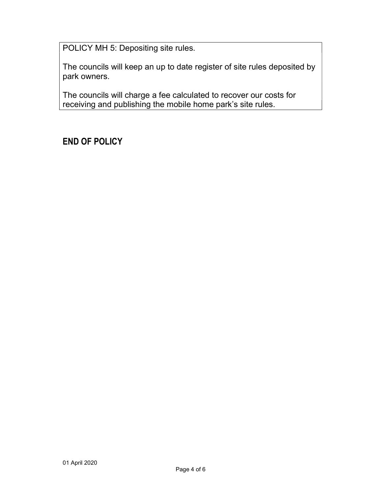POLICY MH 5: Depositing site rules.

The councils will keep an up to date register of site rules deposited by park owners.

The councils will charge a fee calculated to recover our costs for receiving and publishing the mobile home park's site rules.

# END OF POLICY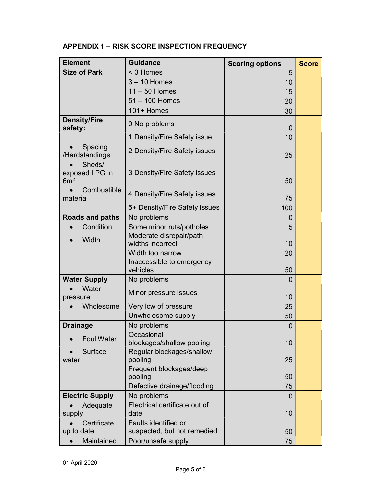| <b>Element</b>                              | <b>Guidance</b>                       | <b>Scoring options</b> | <b>Score</b> |
|---------------------------------------------|---------------------------------------|------------------------|--------------|
| <b>Size of Park</b>                         | < 3 Homes                             | 5                      |              |
|                                             | $3 - 10$ Homes                        | 10                     |              |
|                                             | $11 - 50$ Homes                       | 15                     |              |
|                                             | $51 - 100$ Homes                      | 20                     |              |
|                                             | 101+ Homes                            | 30                     |              |
| <b>Density/Fire</b><br>safety:              | 0 No problems                         | 0                      |              |
|                                             | 1 Density/Fire Safety issue           | 10                     |              |
| Spacing<br>/Hardstandings                   | 2 Density/Fire Safety issues          | 25                     |              |
| Sheds/<br>exposed LPG in<br>6m <sup>2</sup> | 3 Density/Fire Safety issues          | 50                     |              |
| Combustible<br>material                     | 4 Density/Fire Safety issues          | 75                     |              |
|                                             | 5+ Density/Fire Safety issues         | 100                    |              |
| Roads and paths                             | No problems                           | 0                      |              |
| Condition                                   | Some minor ruts/potholes              | 5                      |              |
| Width                                       | Moderate disrepair/path               |                        |              |
|                                             | widths incorrect                      | 10                     |              |
|                                             | Width too narrow                      | 20                     |              |
|                                             | Inaccessible to emergency<br>vehicles | 50                     |              |
| <b>Water Supply</b>                         | No problems                           | $\Omega$               |              |
| Water<br>pressure                           | Minor pressure issues                 | 10                     |              |
| Wholesome                                   | Very low of pressure                  | 25                     |              |
|                                             | Unwholesome supply                    | 50                     |              |
| <b>Drainage</b>                             | No problems                           | 0                      |              |
| <b>Foul Water</b>                           | Occasional                            |                        |              |
|                                             | blockages/shallow pooling             | 10                     |              |
| Surface                                     | Regular blockages/shallow             |                        |              |
| water                                       | pooling<br>Frequent blockages/deep    | 25                     |              |
|                                             | pooling                               | 50                     |              |
|                                             | Defective drainage/flooding           | 75                     |              |
| <b>Electric Supply</b>                      | No problems                           | 0                      |              |
| Adequate                                    | Electrical certificate out of         |                        |              |
| supply                                      | date                                  | 10                     |              |
| Certificate                                 | <b>Faults identified or</b>           |                        |              |
| up to date                                  | suspected, but not remedied           | 50                     |              |
| Maintained                                  | Poor/unsafe supply                    | 75                     |              |